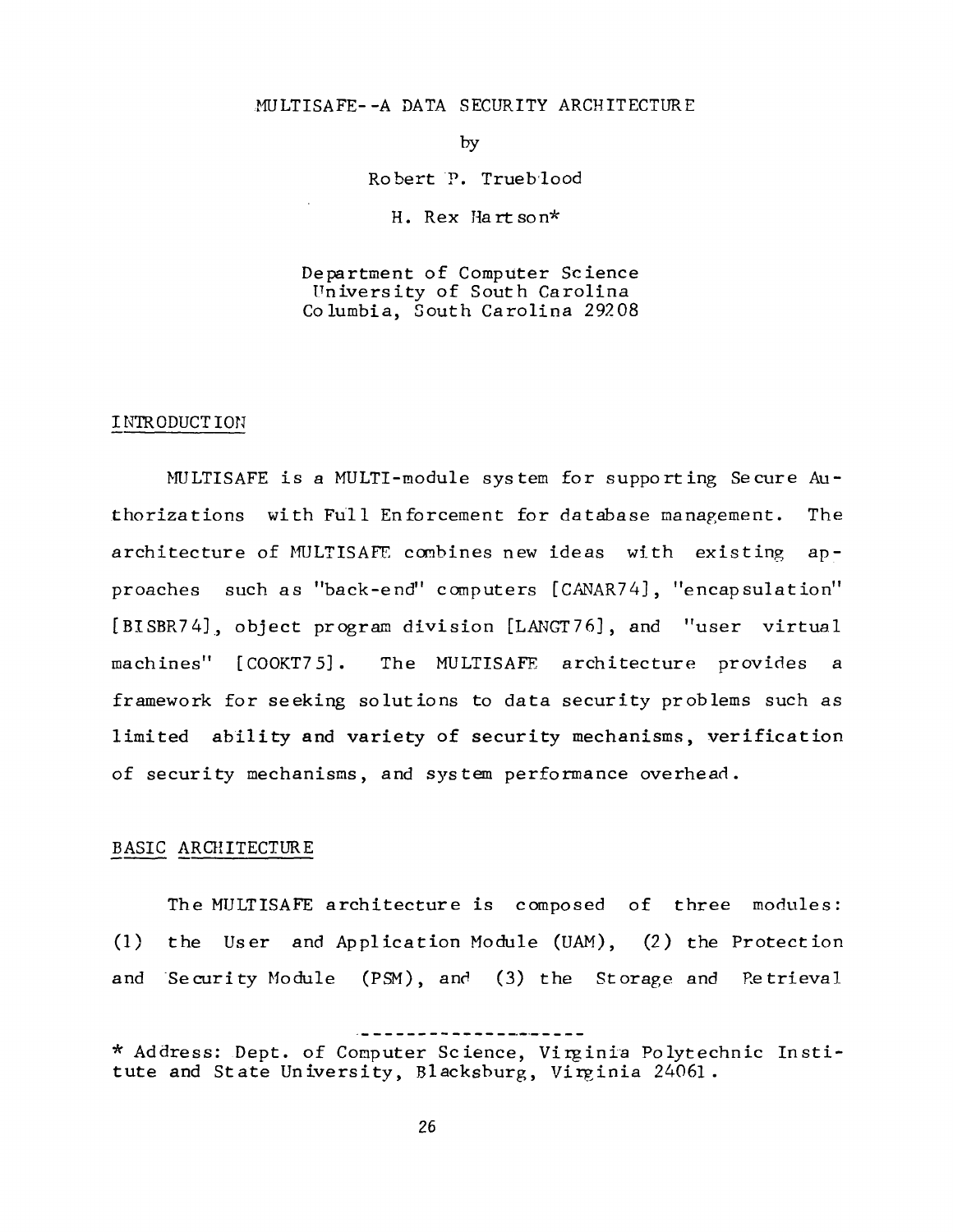## MULTISAFE--A DATA SECURITY ARCHITECTURE

by

Robert P. Trueblood

H. Rex Hartson\*

Department of Computer Science University of South Carolina Columbia, South Carolina 29208

#### I NTR ODUCT ION

~FULTISAFE is a MULTl-module system for supporting Secure Authorizations with Full Enforcement for database management. The architecture of MULTISAFE combines new ideas with existing approaches such as "back-end" computers [CANAR74], "encapsulation" [BISBR74], object program division [LANGT76], and "user virtual machines" [ COOKT7 5] . The MULTISAFE architecture provides a framework for seeking solutions to data security problems such as limited ability and variety of security mechanisms, verification of security mechanisms, and system performance overhead.

# BASIC ARCHITECTURE

(1) the User and Application Module (UAM), (2) the Protection and Security Module (PSM), and (3) the Storage and Retrieval The MULTISAFE architecture is composed of three modules:

<sup>\*</sup> Address: Dept. of Computer Science, Virginia Polytechnic Institute and State University, Blacksburg, Virginia 24061.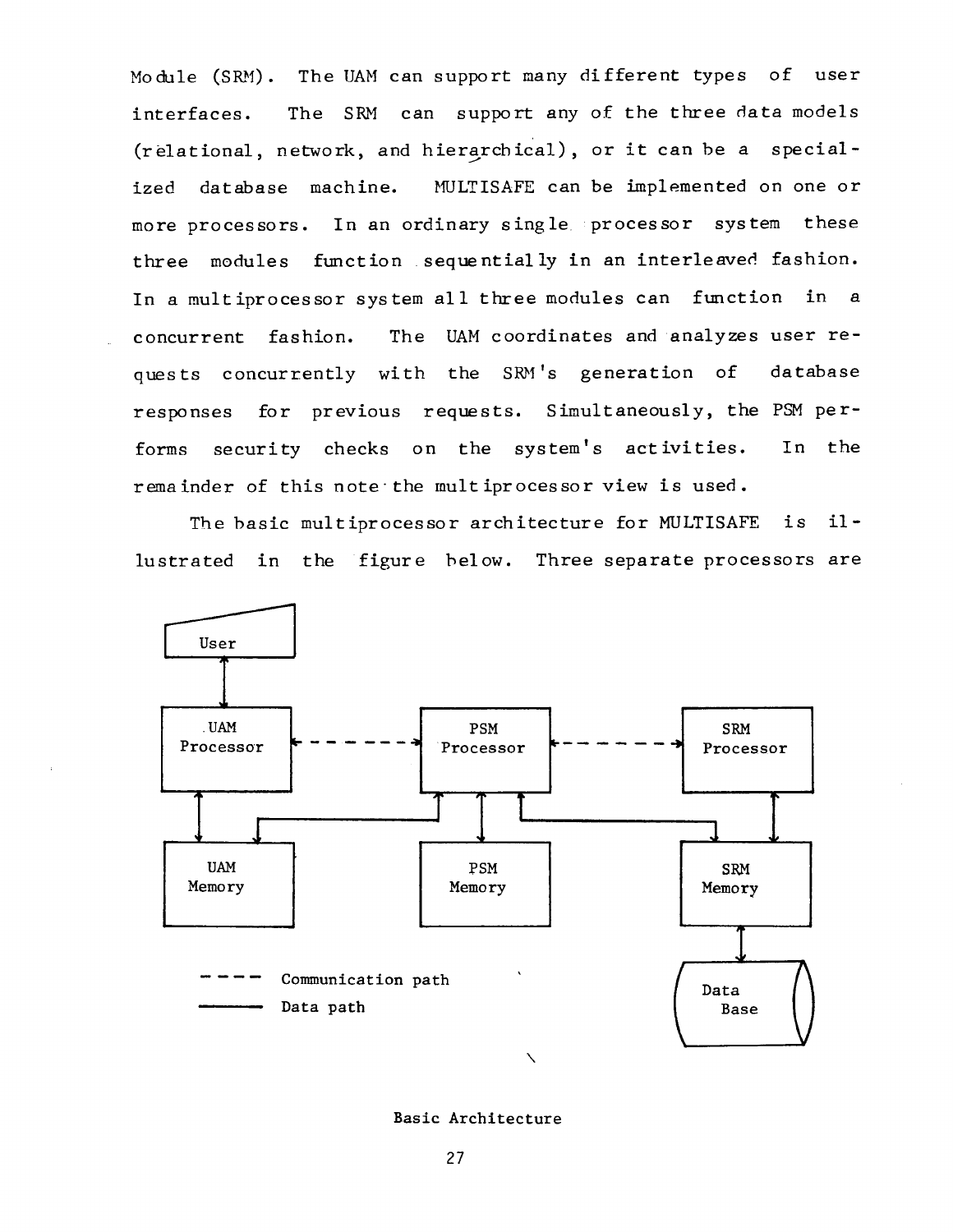Module (SRM). The UAM can support many different types of user interfaces. The SRM can support any of the three data models (relational, network, and hierarchical), or it can be a specialized database machine. MULTISAFE can be implemented on one or more processors. In an ordinary single processor system these three modules function sequentially in an interleaved fashion. In a multiprocessor system all three modules can function in a concurrent fashion. The UAM coordinates and analyzes user requests concurrently with the SRM's generation of database responses for previous requests. Simultaneously, the PSM performs security checks on the system's activities. In the remainder of this note the multiprocessor view is used.

The basic multiprocessor architecture for MULTISAFE is illustrated in the figure below. Three separate processors are



Basic Architecture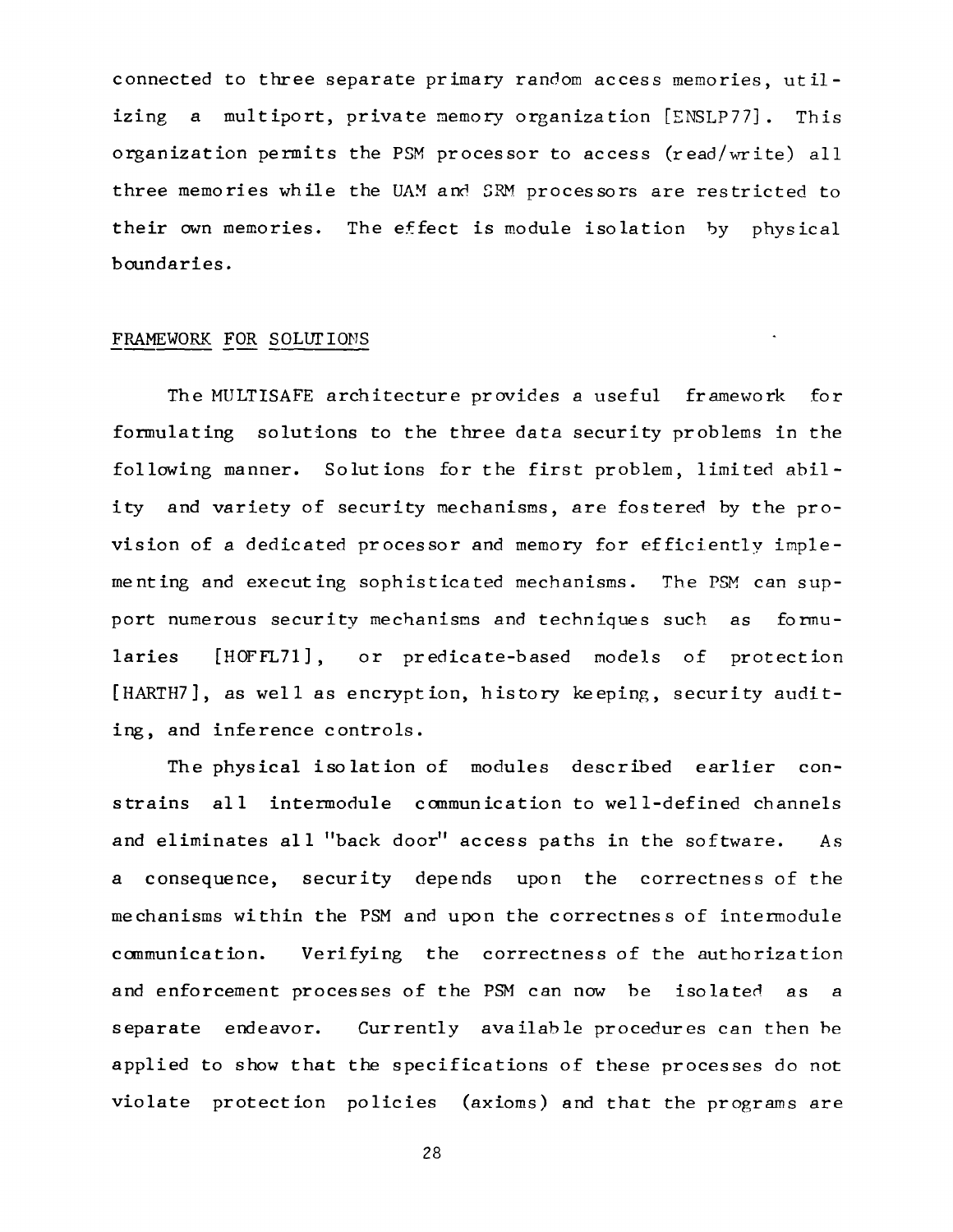connected to three separate primary random access memories, utilizing a multiport, private memory organization [ENSLP77]. This organization permits the PSM processor to access (read/write) all three memories while the UAM and SRM processors are restricted to their own memories. The effect is module isolation by physical boundaries.

# FRAMEWORK FOR SOLUTIONS

The MULTISAFE architecture provides a useful framework for formulating solutions to the three data security problems in the following manner. Solutions for the first problem, limited ability and variety of security mechanisms, are fostered by the provision of a dedicated processor and memory for efficiently implementing and executing sophisticated mechanisms. The PSM can support numerous security mechanisms and techniques such as formularies [HOFFL71], or predicate-based models of protection [HARTH7], as well as encryption, history keeping, security auditing, and inference controls.

The physical isolation of modules described earlier constrains all intermodule communication to well-defined channels and eliminates all "back door" access paths in the software. As a consequence, security depends upon the correctness of the mechanisms within the PSM and upon the correctness of intermodule communication. Verifying the correctness of the authorization and enforcement processes of the PSM can now be isolated as a separate endeavor. Currently available procedures can then be applied to show that the specifications of these processes do not violate protection policies (axioms) and that the programs are

28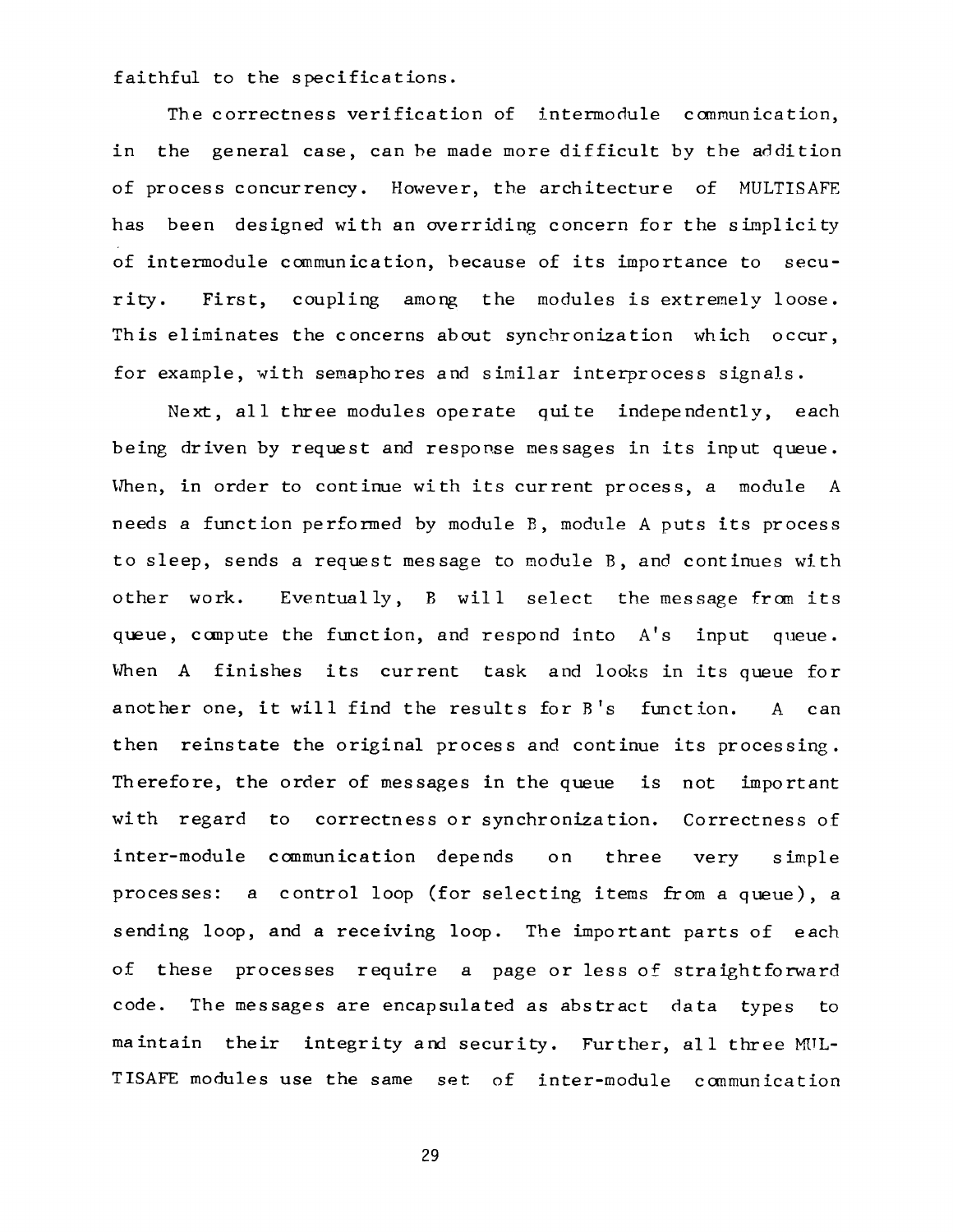faithful to the specifications.

The correctness verification of intermodule communication, in the general case, can be made more difficult by the addition of process concurrency. However, the architecture of MULTISAFE has been designed with an overriding concern for the simplicity of intermodule communication, because of its importance to security. First, coupling among the modules is extremely loose. This eliminates the concerns about synchronization which occur, for example, with semaphores and similar interprocess signals.

Next, all three modules operate quite independently, each being driven by request and response messages in its input queue. When, in order to continue with its current process, a module A needs a function performed by module B, module A puts its process to sleep, sends a request message to module B, and continues with other work. Eventually, B will select the message from its queue, compute the function, and respond into A's input queue. When A finishes its current task and looks in its queue for another one, it will find the results for B's function. A can then reinstate the original process and continue its processing. Therefore, the order of messages in the queue is not important with regard to correctness or synchronization. Correctness of inter-module communication depends on three very simple processes: a control loop (for selecting items from a queue), a sending loop, and a receiving loop. The important parts of each of these processes require a page or less of straightforward code. The messages are encapsulated as abstract data types to maintain their integrity and security. Further, all three MUL-TISAFE modules use the same set of inter-module communication

29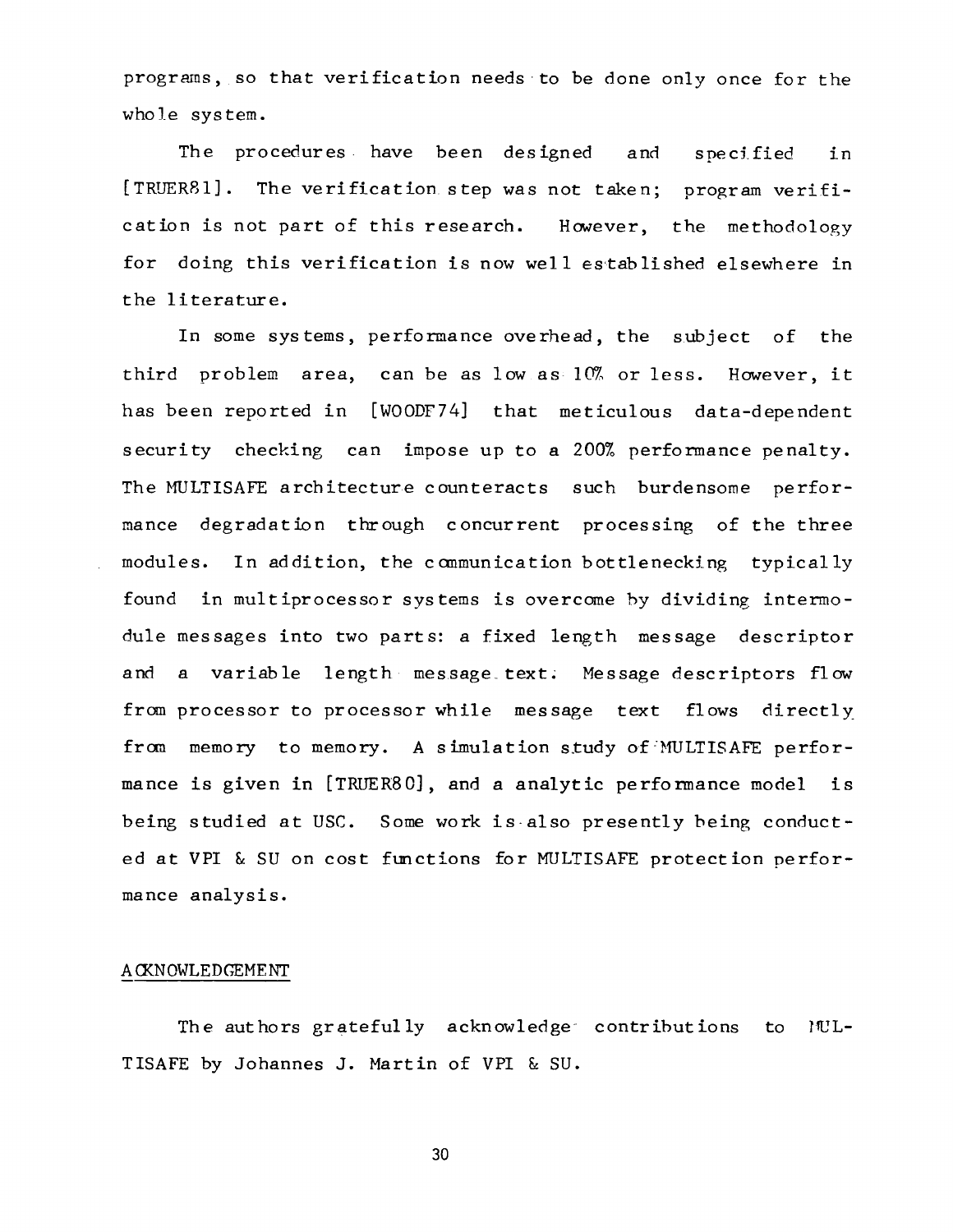programs, so that verification needs to be done only once for the whole system.

The procedures have been designed and specified in [TRUER81]. The verification step was not taken; program verification is not part of this research. However, the methodology for doing this verification is now well established elsewhere in the literature.

In some systems, performance overhead, the subject of the third problem area, can be as low as~ 10% or less. However, it has been reported in [WOODF74] that meticulous data-dependent security checking can impose up to a 200% performance penalty. The MULTISAFE architecture counteracts such burdensome performance degradation through concurrent processing of the three modules. In addition, the communication bottlenecking typically found in multiprocessor systems is overcome by dividing intermodule messages into two parts: a fixed length message descriptor and a variable length message text. Message descriptors flow from processor to processor while message text flows directly from memory to memory. A simulation study of MULTISAFE performance is given in [TRUER80], and a analytic performance model is being studied at USC. Some work is also presently being conducted at VPI & SU on cost functions for MULTISAFE protection performance analysis.

### A CKN OWLED GEMENT

The authors gratefully acknowledge contributions to TISAFE by Johannes J. Martin of VPI & SU.  $1$ <sup>UL-</sup>

30